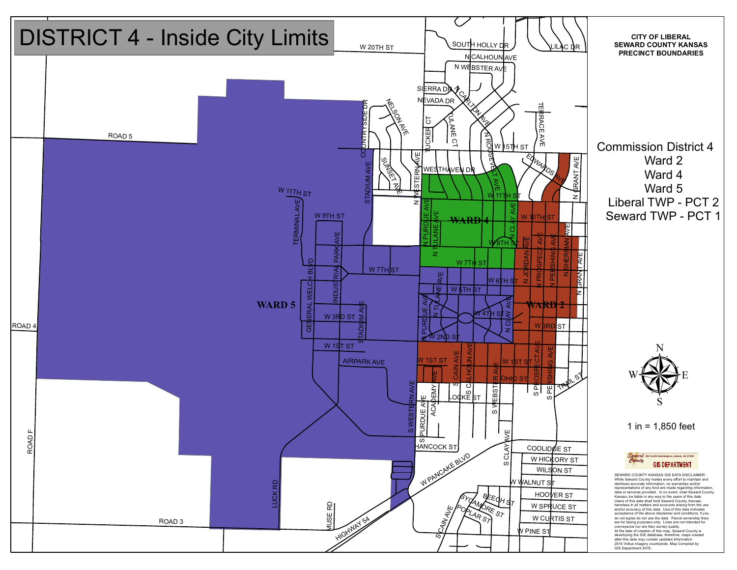